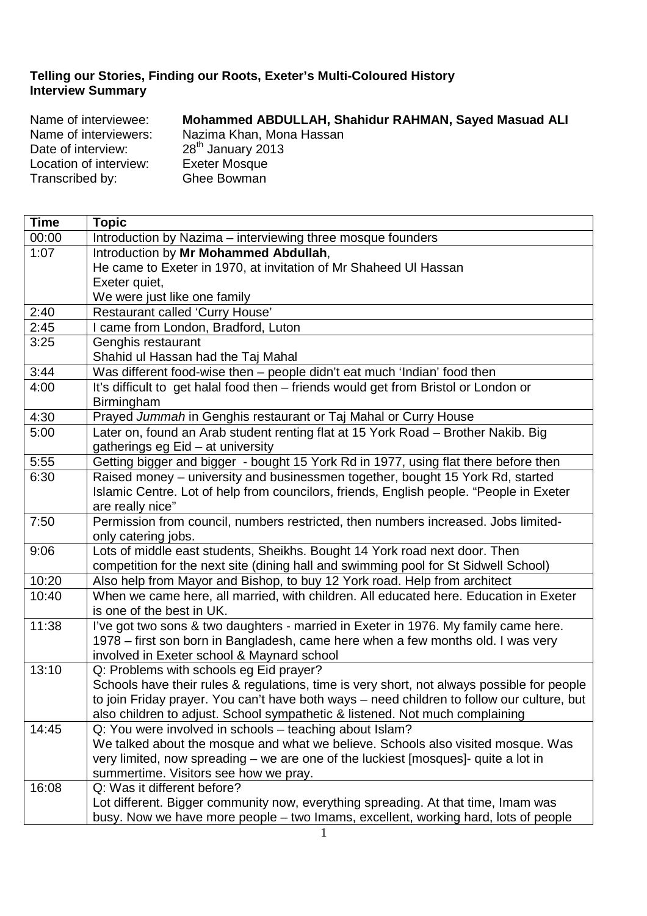## **Telling our Stories, Finding our Roots, Exeter's Multi-Coloured History Interview Summary**

| Exeter Mosque<br>Location of interview:<br>Ghee Bowman<br>Transcribed by: | Name of interviewee:<br>Name of interviewers:<br>Date of interview: | Mohammed ABDULLAH, Shahidur RAHMAN, Sayed Masuad ALI<br>Nazima Khan, Mona Hassan<br>28 <sup>th</sup> January 2013 |
|---------------------------------------------------------------------------|---------------------------------------------------------------------|-------------------------------------------------------------------------------------------------------------------|
|---------------------------------------------------------------------------|---------------------------------------------------------------------|-------------------------------------------------------------------------------------------------------------------|

| <b>Time</b> | <b>Topic</b>                                                                                                                                                                                                                                                                                                        |
|-------------|---------------------------------------------------------------------------------------------------------------------------------------------------------------------------------------------------------------------------------------------------------------------------------------------------------------------|
| 00:00       | Introduction by Nazima - interviewing three mosque founders                                                                                                                                                                                                                                                         |
| 1:07        | Introduction by Mr Mohammed Abdullah,                                                                                                                                                                                                                                                                               |
|             | He came to Exeter in 1970, at invitation of Mr Shaheed UI Hassan                                                                                                                                                                                                                                                    |
|             | Exeter quiet,                                                                                                                                                                                                                                                                                                       |
|             | We were just like one family                                                                                                                                                                                                                                                                                        |
| 2:40        | Restaurant called 'Curry House'                                                                                                                                                                                                                                                                                     |
| 2:45        | I came from London, Bradford, Luton                                                                                                                                                                                                                                                                                 |
| 3:25        | Genghis restaurant                                                                                                                                                                                                                                                                                                  |
|             | Shahid ul Hassan had the Taj Mahal                                                                                                                                                                                                                                                                                  |
| 3:44        | Was different food-wise then - people didn't eat much 'Indian' food then                                                                                                                                                                                                                                            |
| 4:00        | It's difficult to get halal food then - friends would get from Bristol or London or<br>Birmingham                                                                                                                                                                                                                   |
| 4:30        | Prayed Jummah in Genghis restaurant or Taj Mahal or Curry House                                                                                                                                                                                                                                                     |
| 5:00        | Later on, found an Arab student renting flat at 15 York Road - Brother Nakib. Big<br>gatherings eg Eid - at university                                                                                                                                                                                              |
| 5:55        | Getting bigger and bigger - bought 15 York Rd in 1977, using flat there before then                                                                                                                                                                                                                                 |
| 6:30        | Raised money - university and businessmen together, bought 15 York Rd, started<br>Islamic Centre. Lot of help from councilors, friends, English people. "People in Exeter<br>are really nice"                                                                                                                       |
| 7:50        | Permission from council, numbers restricted, then numbers increased. Jobs limited-<br>only catering jobs.                                                                                                                                                                                                           |
| 9:06        | Lots of middle east students, Sheikhs. Bought 14 York road next door. Then                                                                                                                                                                                                                                          |
|             | competition for the next site (dining hall and swimming pool for St Sidwell School)                                                                                                                                                                                                                                 |
| 10:20       | Also help from Mayor and Bishop, to buy 12 York road. Help from architect                                                                                                                                                                                                                                           |
| 10:40       | When we came here, all married, with children. All educated here. Education in Exeter<br>is one of the best in UK.                                                                                                                                                                                                  |
| 11:38       | I've got two sons & two daughters - married in Exeter in 1976. My family came here.<br>1978 – first son born in Bangladesh, came here when a few months old. I was very<br>involved in Exeter school & Maynard school                                                                                               |
| 13:10       | Q: Problems with schools eg Eid prayer?<br>Schools have their rules & regulations, time is very short, not always possible for people<br>to join Friday prayer. You can't have both ways - need children to follow our culture, but<br>also children to adjust. School sympathetic & listened. Not much complaining |
| 14:45       | Q: You were involved in schools – teaching about Islam?<br>We talked about the mosque and what we believe. Schools also visited mosque. Was<br>very limited, now spreading - we are one of the luckiest [mosques]- quite a lot in<br>summertime. Visitors see how we pray.                                          |
| 16:08       | Q: Was it different before?<br>Lot different. Bigger community now, everything spreading. At that time, Imam was<br>busy. Now we have more people – two Imams, excellent, working hard, lots of people                                                                                                              |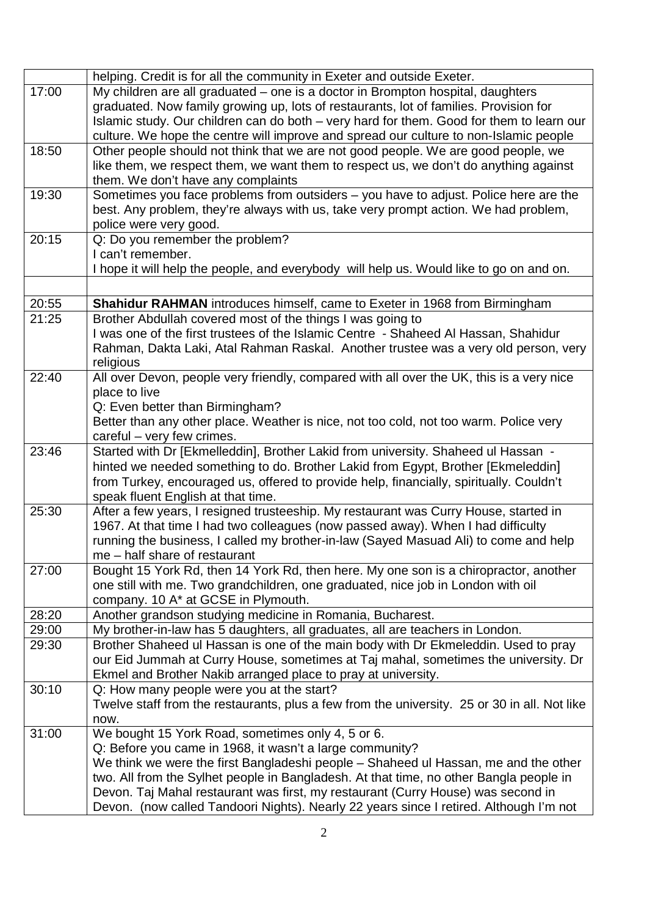|       | helping. Credit is for all the community in Exeter and outside Exeter.                       |
|-------|----------------------------------------------------------------------------------------------|
| 17:00 | My children are all graduated – one is a doctor in Brompton hospital, daughters              |
|       | graduated. Now family growing up, lots of restaurants, lot of families. Provision for        |
|       | Islamic study. Our children can do both - very hard for them. Good for them to learn our     |
|       | culture. We hope the centre will improve and spread our culture to non-Islamic people        |
| 18:50 | Other people should not think that we are not good people. We are good people, we            |
|       | like them, we respect them, we want them to respect us, we don't do anything against         |
|       | them. We don't have any complaints                                                           |
| 19:30 | Sometimes you face problems from outsiders – you have to adjust. Police here are the         |
|       | best. Any problem, they're always with us, take very prompt action. We had problem,          |
|       | police were very good.                                                                       |
| 20:15 | Q: Do you remember the problem?                                                              |
|       | I can't remember.                                                                            |
|       | I hope it will help the people, and everybody will help us. Would like to go on and on.      |
|       |                                                                                              |
|       |                                                                                              |
| 20:55 | <b>Shahidur RAHMAN</b> introduces himself, came to Exeter in 1968 from Birmingham            |
| 21:25 | Brother Abdullah covered most of the things I was going to                                   |
|       | I was one of the first trustees of the Islamic Centre - Shaheed AI Hassan, Shahidur          |
|       | Rahman, Dakta Laki, Atal Rahman Raskal. Another trustee was a very old person, very          |
|       | religious                                                                                    |
| 22:40 | All over Devon, people very friendly, compared with all over the UK, this is a very nice     |
|       | place to live                                                                                |
|       | Q: Even better than Birmingham?                                                              |
|       | Better than any other place. Weather is nice, not too cold, not too warm. Police very        |
|       | careful - very few crimes.                                                                   |
| 23:46 | Started with Dr [Ekmelleddin], Brother Lakid from university. Shaheed ul Hassan -            |
|       | hinted we needed something to do. Brother Lakid from Egypt, Brother [Ekmeleddin]             |
|       | from Turkey, encouraged us, offered to provide help, financially, spiritually. Couldn't      |
|       | speak fluent English at that time.                                                           |
| 25:30 | After a few years, I resigned trusteeship. My restaurant was Curry House, started in         |
|       | 1967. At that time I had two colleagues (now passed away). When I had difficulty             |
|       | running the business, I called my brother-in-law (Sayed Masuad Ali) to come and help         |
|       | me - half share of restaurant                                                                |
| 27:00 | Bought 15 York Rd, then 14 York Rd, then here. My one son is a chiropractor, another         |
|       | one still with me. Two grandchildren, one graduated, nice job in London with oil             |
|       | company. 10 A* at GCSE in Plymouth.                                                          |
| 28:20 | Another grandson studying medicine in Romania, Bucharest.                                    |
| 29:00 | My brother-in-law has 5 daughters, all graduates, all are teachers in London.                |
| 29:30 | Brother Shaheed ul Hassan is one of the main body with Dr Ekmeleddin. Used to pray           |
|       | our Eid Jummah at Curry House, sometimes at Taj mahal, sometimes the university. Dr          |
|       | Ekmel and Brother Nakib arranged place to pray at university.                                |
| 30:10 | Q: How many people were you at the start?                                                    |
|       | Twelve staff from the restaurants, plus a few from the university. 25 or 30 in all. Not like |
|       | now.                                                                                         |
| 31:00 | We bought 15 York Road, sometimes only 4, 5 or 6.                                            |
|       | Q: Before you came in 1968, it wasn't a large community?                                     |
|       | We think we were the first Bangladeshi people - Shaheed ul Hassan, me and the other          |
|       | two. All from the Sylhet people in Bangladesh. At that time, no other Bangla people in       |
|       | Devon. Taj Mahal restaurant was first, my restaurant (Curry House) was second in             |
|       | Devon. (now called Tandoori Nights). Nearly 22 years since I retired. Although I'm not       |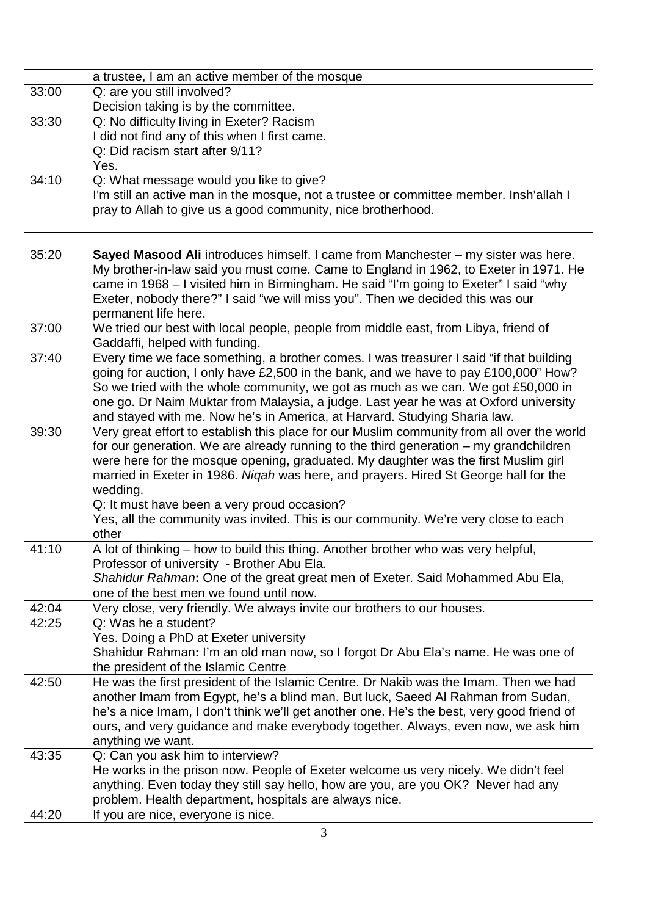|       | a trustee, I am an active member of the mosque                                             |
|-------|--------------------------------------------------------------------------------------------|
| 33:00 | Q: are you still involved?                                                                 |
|       | Decision taking is by the committee.                                                       |
| 33:30 | Q: No difficulty living in Exeter? Racism                                                  |
|       | I did not find any of this when I first came.                                              |
|       | Q: Did racism start after 9/11?                                                            |
|       | Yes.                                                                                       |
| 34:10 | Q: What message would you like to give?                                                    |
|       | I'm still an active man in the mosque, not a trustee or committee member. Insh'allah I     |
|       | pray to Allah to give us a good community, nice brotherhood.                               |
|       |                                                                                            |
|       |                                                                                            |
| 35:20 | Sayed Masood Ali introduces himself. I came from Manchester - my sister was here.          |
|       | My brother-in-law said you must come. Came to England in 1962, to Exeter in 1971. He       |
|       | came in 1968 – I visited him in Birmingham. He said "I'm going to Exeter" I said "why      |
|       | Exeter, nobody there?" I said "we will miss you". Then we decided this was our             |
|       | permanent life here.                                                                       |
| 37:00 | We tried our best with local people, people from middle east, from Libya, friend of        |
|       | Gaddaffi, helped with funding.                                                             |
| 37:40 | Every time we face something, a brother comes. I was treasurer I said "if that building    |
|       | going for auction, I only have £2,500 in the bank, and we have to pay £100,000" How?       |
|       | So we tried with the whole community, we got as much as we can. We got £50,000 in          |
|       | one go. Dr Naim Muktar from Malaysia, a judge. Last year he was at Oxford university       |
|       | and stayed with me. Now he's in America, at Harvard. Studying Sharia law.                  |
| 39:30 | Very great effort to establish this place for our Muslim community from all over the world |
|       | for our generation. We are already running to the third generation – my grandchildren      |
|       | were here for the mosque opening, graduated. My daughter was the first Muslim girl         |
|       | married in Exeter in 1986. Nigah was here, and prayers. Hired St George hall for the       |
|       | wedding.                                                                                   |
|       | Q: It must have been a very proud occasion?                                                |
|       | Yes, all the community was invited. This is our community. We're very close to each        |
|       | other                                                                                      |
| 41:10 | A lot of thinking – how to build this thing. Another brother who was very helpful,         |
|       | Professor of university - Brother Abu Ela.                                                 |
|       | Shahidur Rahman: One of the great great men of Exeter. Said Mohammed Abu Ela,              |
|       | one of the best men we found until now.                                                    |
| 42:04 | Very close, very friendly. We always invite our brothers to our houses.                    |
| 42:25 | Q: Was he a student?                                                                       |
|       | Yes. Doing a PhD at Exeter university                                                      |
|       | Shahidur Rahman: I'm an old man now, so I forgot Dr Abu Ela's name. He was one of          |
|       | the president of the Islamic Centre                                                        |
| 42:50 | He was the first president of the Islamic Centre. Dr Nakib was the Imam. Then we had       |
|       | another Imam from Egypt, he's a blind man. But luck, Saeed AI Rahman from Sudan,           |
|       | he's a nice Imam, I don't think we'll get another one. He's the best, very good friend of  |
|       | ours, and very guidance and make everybody together. Always, even now, we ask him          |
|       | anything we want.                                                                          |
| 43:35 | Q: Can you ask him to interview?                                                           |
|       | He works in the prison now. People of Exeter welcome us very nicely. We didn't feel        |
|       | anything. Even today they still say hello, how are you, are you OK? Never had any          |
|       | problem. Health department, hospitals are always nice.                                     |
| 44:20 | If you are nice, everyone is nice.                                                         |